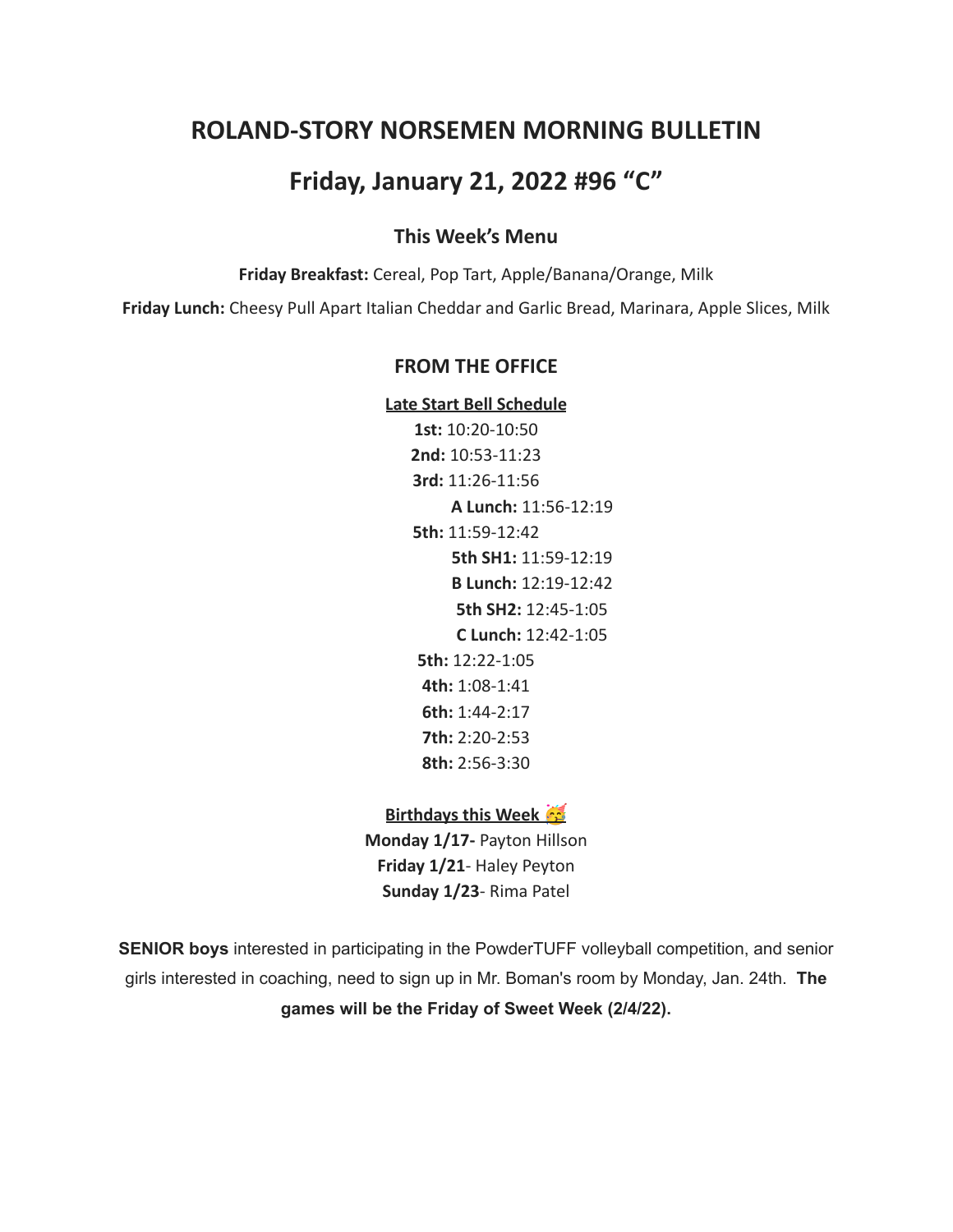# **ROLAND-STORY NORSEMEN MORNING BULLETIN**

# **Friday, January 21, 2022 #96 "C"**

## **This Week's Menu**

**Friday Breakfast:** Cereal, Pop Tart, Apple/Banana/Orange, Milk

**Friday Lunch:** Cheesy Pull Apart Italian Cheddar and Garlic Bread, Marinara, Apple Slices, Milk

### **FROM THE OFFICE**

**Late Start Bell Schedule**

**1st:** 10:20-10:50 **2nd:** 10:53-11:23 **3rd:** 11:26-11:56 **A Lunch:** 11:56-12:19 **5th:** 11:59-12:42 **5th SH1:** 11:59-12:19 **B Lunch:** 12:19-12:42 **5th SH2:** 12:45-1:05 **C Lunch:** 12:42-1:05 **5th:** 12:22-1:05 **4th:** 1:08-1:41 **6th:** 1:44-2:17 **7th:** 2:20-2:53 **8th:** 2:56-3:30

### **Birthdays this Week**

**Monday 1/17-** Payton Hillson **Friday 1/21**- Haley Peyton **Sunday 1/23**- Rima Patel

**SENIOR boys** interested in participating in the PowderTUFF volleyball competition, and senior girls interested in coaching, need to sign up in Mr. Boman's room by Monday, Jan. 24th. **The games will be the Friday of Sweet Week (2/4/22).**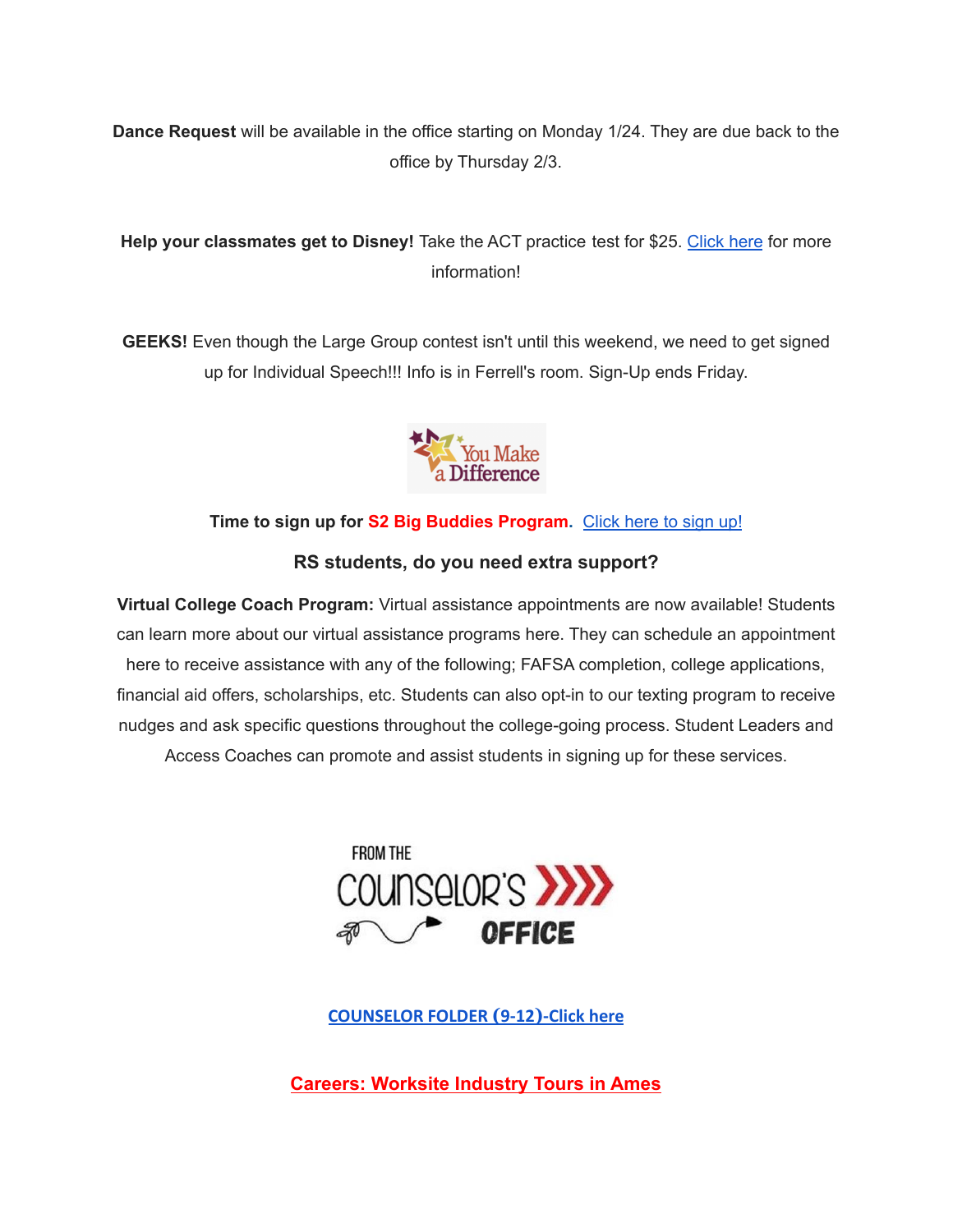**Dance Request** will be available in the office starting on Monday 1/24. They are due back to the office by Thursday 2/3.

# **Help your classmates get to Disney!** Take the ACT practice test for \$25. [Click](https://drive.google.com/file/d/1oPqWQ0VvsIc-NVR9cIZGWUySp5CiMbtD/view?usp=sharing) here for more information!

**GEEKS!** Even though the Large Group contest isn't until this weekend, we need to get signed up for Individual Speech!!! Info is in Ferrell's room. Sign-Up ends Friday.



## **Time to sign up for S2 Big Buddies Program.** [Click](https://docs.google.com/forms/d/e/1FAIpQLScEfMWk-lsFYGzpe0Yn6ky9dqYu7j6368TGcUHByQAIutY4OA/viewform?usp=sf_link) here to sign up!

# **RS students, do you need extra support?**

**Virtual College Coach Program:** Virtual assistance appointments are now available! Students can learn more about our virtual assistance programs here. They can schedule an appointment here to receive assistance with any of the following; FAFSA completion, college applications, financial aid offers, scholarships, etc. Students can also opt-in to our texting program to receive nudges and ask specific questions throughout the college-going process. Student Leaders and Access Coaches can promote and assist students in signing up for these services.



**[COUNSELOR FOLDER](https://docs.google.com/document/d/1vmwczNPbDzXe9vFaG5LJMQ7NYDv-i4oQJHybqA65TUc/edit?usp=sharing) (9-12)-Click here**

**Careers: Worksite Industry Tours in Ames**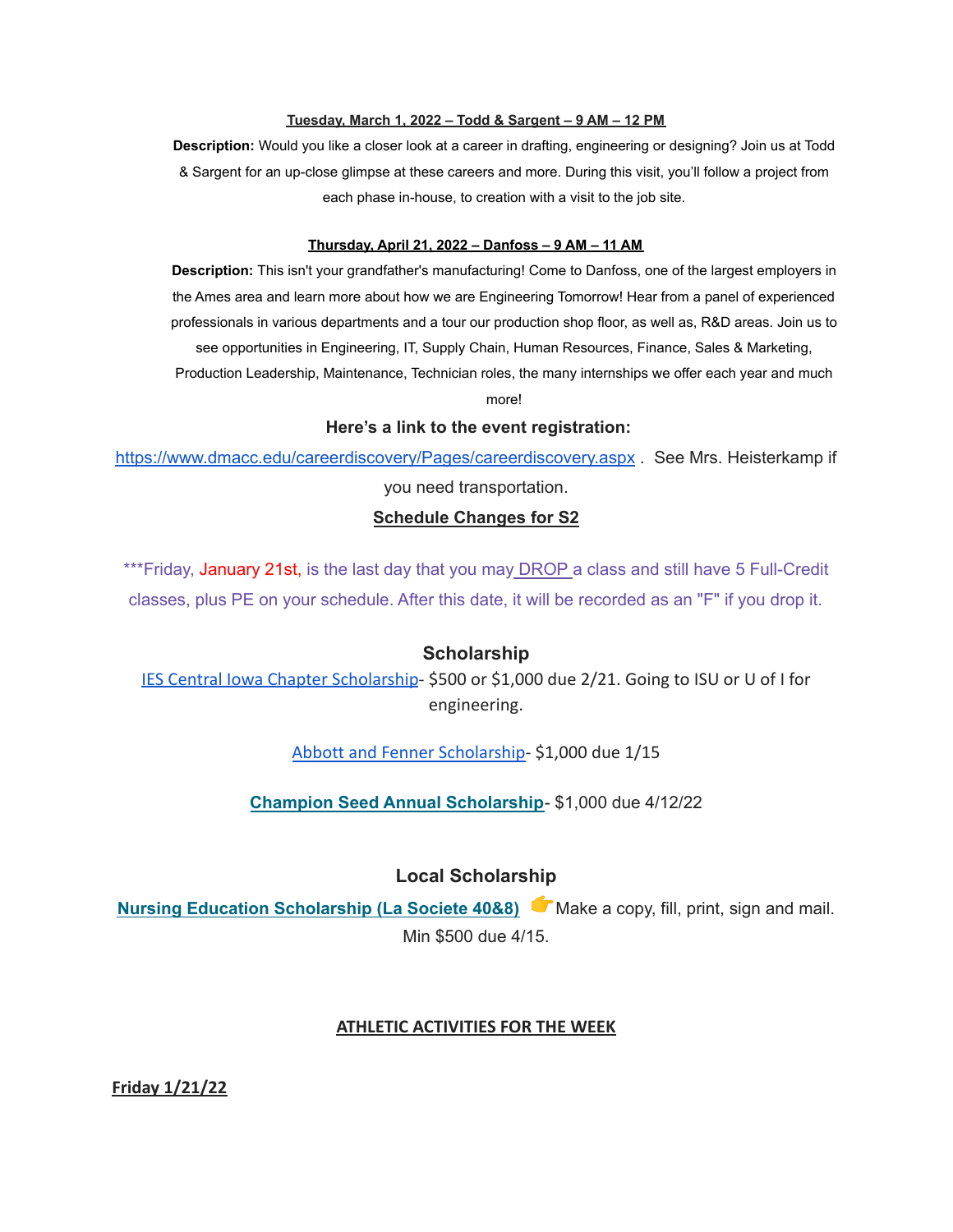#### **Tuesday, March 1, 2022 – Todd & Sargent – 9 AM – 12 PM**

**Description:** Would you like a closer look at a career in drafting, engineering or designing? Join us at Todd & Sargent for an up-close glimpse at these careers and more. During this visit, you'll follow a project from each phase in-house, to creation with a visit to the job site.

#### **Thursday, April 21, 2022 – Danfoss – 9 AM – 11 AM**

**Description:** This isn't your grandfather's manufacturing! Come to Danfoss, one of the largest employers in the Ames area and learn more about how we are Engineering Tomorrow! Hear from a panel of experienced professionals in various departments and a tour our production shop floor, as well as, R&D areas. Join us to see opportunities in Engineering, IT, Supply Chain, Human Resources, Finance, Sales & Marketing, Production Leadership, Maintenance, Technician roles, the many internships we offer each year and much more!

### **Here's a link to the event registration:**

<https://www.dmacc.edu/careerdiscovery/Pages/careerdiscovery.aspx> . See Mrs. Heisterkamp if you need transportation.

# **Schedule Changes for S2**

\*\*\*Friday, January 21st, is the last day that you may DROP a class and still have 5 Full-Credit classes, plus PE on your schedule. After this date, it will be recorded as an "F" if you drop it.

### **Scholarship**

[IES Central Iowa Chapter Scholarship](https://drive.google.com/file/d/1TOCO584mY9ObCqCNa6kBs_Yjrn4wPSdj/view?usp=sharing)- \$500 or \$1,000 due 2/21. Going to ISU or U of I for engineering.

[Abbott and Fenner Scholarship-](https://abbottandfenner.com/scholarships.php) \$1,000 due 1/15

**Champion Seed Annual [Scholarship](https://www.plantchampion.com/about/scholarship/)**- \$1,000 due 4/12/22

### **Local Scholarship**

**Nursing Education [Scholarship](https://docs.google.com/document/d/1xp-Gg2v_kfzzaIsmco9l2tbpQI6T93L71SJzPYrDpOA/edit?usp=sharing) (La Societe 40&8)** Make a copy, fill, print, sign and mail. Min \$500 due 4/15.

### **ATHLETIC ACTIVITIES FOR THE WEEK**

**Friday 1/21/22**